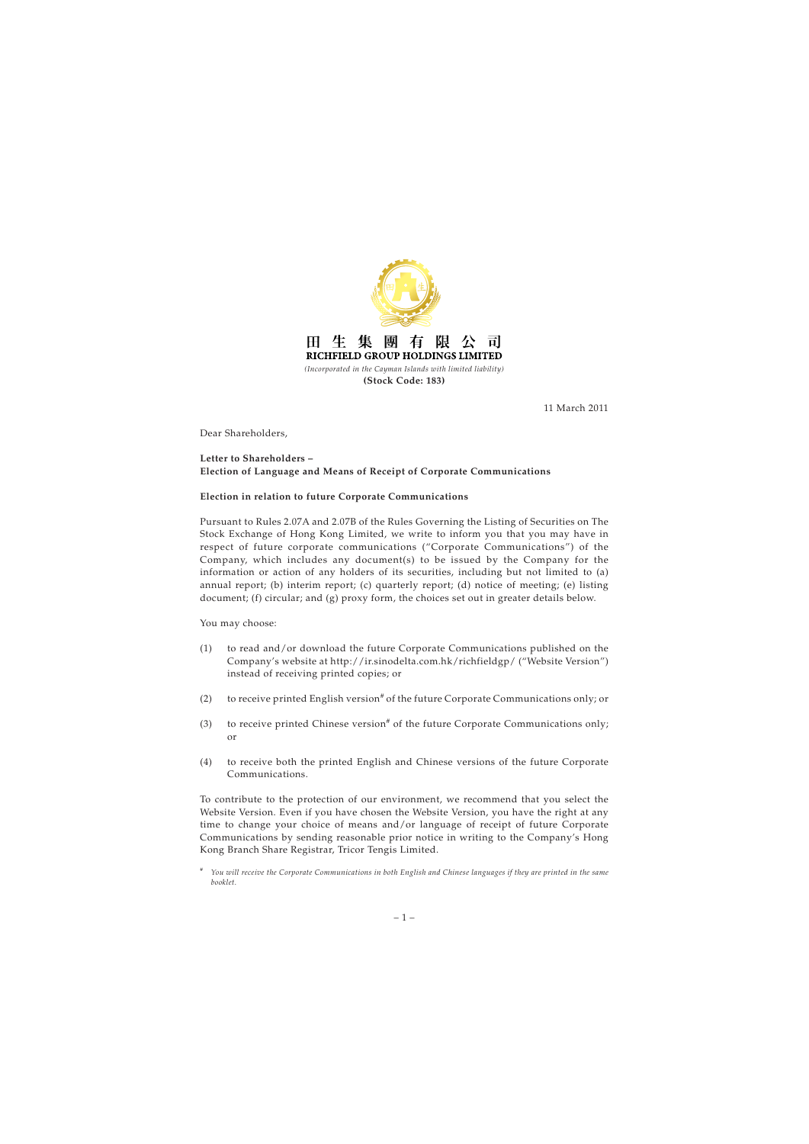

11 March 2011

Dear Shareholders,

## **Letter to Shareholders – Election of Language and Means of Receipt of Corporate Communications**

## **Election in relation to future Corporate Communications**

Pursuant to Rules 2.07A and 2.07B of the Rules Governing the Listing of Securities on The Stock Exchange of Hong Kong Limited, we write to inform you that you may have in respect of future corporate communications ("Corporate Communications") of the Company, which includes any document(s) to be issued by the Company for the information or action of any holders of its securities, including but not limited to (a) annual report; (b) interim report; (c) quarterly report; (d) notice of meeting; (e) listing document; (f) circular; and (g) proxy form, the choices set out in greater details below.

You may choose:

- (1) to read and/or download the future Corporate Communications published on the Company's website at http://ir.sinodelta.com.hk/richfieldgp/ ("Website Version") instead of receiving printed copies; or
- (2) to receive printed English version<sup>#</sup> of the future Corporate Communications only; or
- (3) to receive printed Chinese version<sup>#</sup> of the future Corporate Communications only; or
- (4) to receive both the printed English and Chinese versions of the future Corporate Communications.

To contribute to the protection of our environment, we recommend that you select the Website Version. Even if you have chosen the Website Version, you have the right at any time to change your choice of means and/or language of receipt of future Corporate Communications by sending reasonable prior notice in writing to the Company's Hong Kong Branch Share Registrar, Tricor Tengis Limited.

<sup>#</sup> *You will receive the Corporate Communications in both English and Chinese languages if they are printed in the same booklet.*